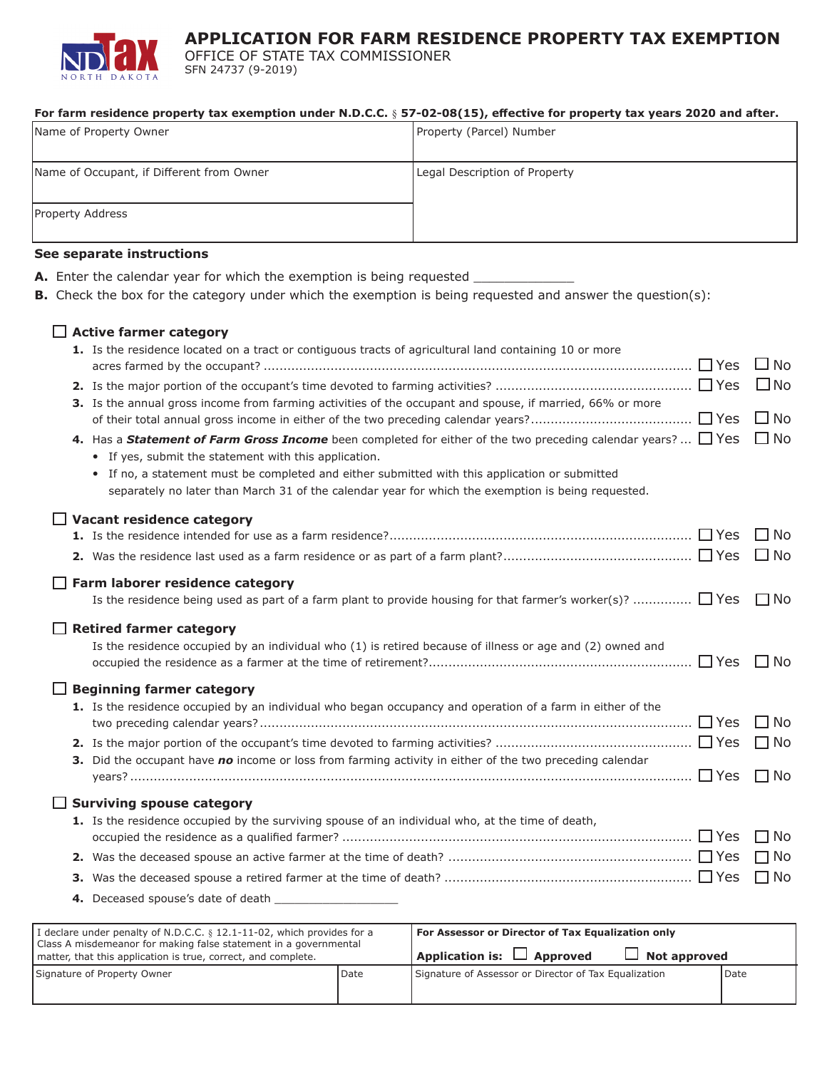

**APPLICATION FOR FARM RESIDENCE PROPERTY TAX EXEMPTION**

OFFICE OF STATE TAX COMMISSIONER SFN 24737 (9-2019)

**A.** Enter the calendar year for which the exemption is being requested \_\_\_\_\_\_\_\_\_\_\_\_\_

#### **For farm residence property tax exemption under N.D.C.C.** § **57-02-08(15), effective for property tax years 2020 and after.**

| Name of Property Owner                    | Property (Parcel) Number      |
|-------------------------------------------|-------------------------------|
| Name of Occupant, if Different from Owner | Legal Description of Property |
| Property Address                          |                               |

#### **See separate instructions**

| <b>B.</b> Check the box for the category under which the exemption is being requested and answer the question(s):                                                                                                                                                                                                                                                                                                                                                                                                                                                                                                                                 |                                                      |
|---------------------------------------------------------------------------------------------------------------------------------------------------------------------------------------------------------------------------------------------------------------------------------------------------------------------------------------------------------------------------------------------------------------------------------------------------------------------------------------------------------------------------------------------------------------------------------------------------------------------------------------------------|------------------------------------------------------|
| $\Box$ Active farmer category<br>1. Is the residence located on a tract or contiguous tracts of agricultural land containing 10 or more<br>3. Is the annual gross income from farming activities of the occupant and spouse, if married, 66% or more<br>4. Has a <b>Statement of Farm Gross Income</b> been completed for either of the two preceding calendar years? $\Box$ Yes<br>• If yes, submit the statement with this application.<br>• If no, a statement must be completed and either submitted with this application or submitted<br>separately no later than March 31 of the calendar year for which the exemption is being requested. | ∐ No<br>$\square$ No<br>$\square$ No<br>$\square$ No |
| $\Box$ Vacant residence category                                                                                                                                                                                                                                                                                                                                                                                                                                                                                                                                                                                                                  | $\square$ No<br>$\Box$ No                            |
| $\Box$ Farm laborer residence category<br>Is the residence being used as part of a farm plant to provide housing for that farmer's worker(s)? $\Box$ Yes<br><b>Retired farmer category</b>                                                                                                                                                                                                                                                                                                                                                                                                                                                        | $\Box$ No                                            |
| Is the residence occupied by an individual who (1) is retired because of illness or age and (2) owned and<br>$\Box$ Beginning farmer category<br>1. Is the residence occupied by an individual who began occupancy and operation of a farm in either of the<br>3. Did the occupant have no income or loss from farming activity in either of the two preceding calendar                                                                                                                                                                                                                                                                           | $\Box$ No<br>$\square$ No<br>$\square$ No            |
| $\Box$ Surviving spouse category<br>1. Is the residence occupied by the surviving spouse of an individual who, at the time of death,                                                                                                                                                                                                                                                                                                                                                                                                                                                                                                              | $\Box$ No<br>$\Box$ No<br>$\Box$ No<br>$\Box$ No     |
|                                                                                                                                                                                                                                                                                                                                                                                                                                                                                                                                                                                                                                                   |                                                      |

| I declare under penalty of N.D.C.C. § 12.1-11-02, which provides for a<br>Class A misdemeanor for making false statement in a governmental<br>matter, that this application is true, correct, and complete. |        | For Assessor or Director of Tax Equalization only<br>$\Box$ Application is: $\Box$ Approved<br>$\Box$ Not approved |  |
|-------------------------------------------------------------------------------------------------------------------------------------------------------------------------------------------------------------|--------|--------------------------------------------------------------------------------------------------------------------|--|
| Signature of Property Owner                                                                                                                                                                                 | l Date | Signature of Assessor or Director of Tax Equalization<br><b>I</b> Date                                             |  |